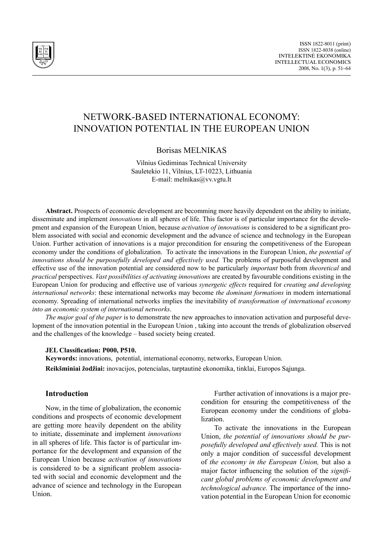

# Network-based international economy: innovation potential in the European Union

### Borisas MELNIKAS

Vilnius Gediminas Technical University Sauletekio 11, Vilnius, LT-10223, Lithuania E-mail: melnikas@vv.vgtu.lt

**Abstract.** Prospects of economic development are becomming more heavily dependent on the ability to initiate, disseminate and implement *innovations* in all spheres of life. This factor is of particular importance for the development and expansion of the European Union, because *activation of innovations* is considered to be a significant problem associated with social and economic development and the advance of science and technology in the European Union. Further activation of innovations is a major precondition for ensuring the competitiveness of the European economy under the conditions of globalization. To activate the innovations in the European Union, *the potential of innovations should be purposefully developed and effectively used.* The problems of purposeful development and effective use of the innovation potential are considered now to be particularly *important* both from *theoretical* and *practical* perspectives. *Vast possibilities of activating innovations* are created by favourable conditions existing in the European Union for producing and effective use of various *synergetic effects* required for *creating and developing international networks*: these international networks may become *the dominant formations* in modern international economy. Spreading of international networks implies the inevitability of *transformation of international economy into an economic system of international networks*.

*The major goal of the paper* is to demonstrate the new approaches to innovation activation and purposeful development of the innovation potential in the European Union , taking into account the trends of globalization observed and the challenges of the knowledge – based society being created.

#### **JEL Classification: P000, P510.**

**Keywords:** innovations, potential, international economy, networks, European Union. **Reikšminiai žodžiai:** inovacijos, potencialas, tarptautinė ekonomika, tinklai, Europos Sąjunga.

### **Introduction**

Now, in the time of globalization, the economic conditions and prospects of economic development are getting more heavily dependent on the ability to initiate, disseminate and implement *innovations* in all spheres of life. This factor is of particular importance for the development and expansion of the European Union because *activation of innovations* is considered to be a significant problem associated with social and economic development and the advance of science and technology in the European Union.

Further activation of innovations is a major precondition for ensuring the competitiveness of the European economy under the conditions of globalization.

To activate the innovations in the European Union, *the potential of innovations should be purposefully developed and effectively used.* This is not only a major condition of successful development of *the economy in the European Union,* but also a major factor influencing the solution of the *significant global problems of economic development and technological advance.* The importance of the innovation potential in the European Union for economic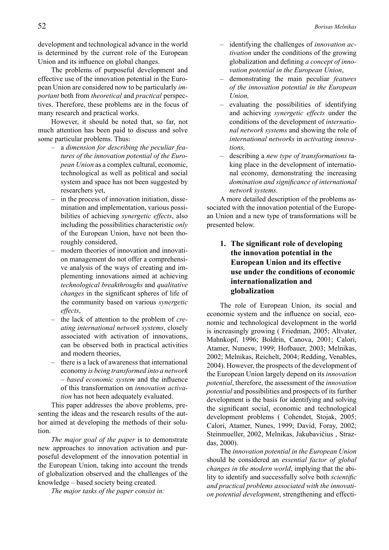development and technological advance in the world is determined by the current role of the European Union and its influence on global changes.

The problems of purposeful development and effective use of the innovation potential in the European Union are considered now to be particularly *important* both from *theoretical* and *practical* perspectives. Therefore, these problems are in the focus of many research and practical works.

However, it should be noted that, so far, not much attention has been paid to discuss and solve some particular problems. Thus:

- a *dimension for describing the peculiar features of the innovation potential of the European Union* as a complex cultural, economic, technological as well as political and social system and space has not been suggested by researchers yet,
- in the process of innovation initiation, dissemination and implementation, various possibilities of achieving *synergetic effects*, also including the possibilities characteristic *only*  of the European Union, have not been thoroughly considered,
- modern theories of innovation and innovation management do not offer a comprehensive analysis of the ways of creating and implementing innovations aimed at achieving *technological breakthroughs* and *qualitative changes* in the significant spheres of life of the community based on various *synergetic effects*,
- the lack of attention to the problem of *creating international network systems*, closely associated with activation of innovations, can be observed both in practical activities and modern theories,
- there is a lack of awareness that international economy *is being transformed into a network – based economic system* and the influence of this transformation on *innovation activation* has not been adequately evaluated.

This paper addresses the above problems, presenting the ideas and the research results of the author aimed at developing the methods of their solution.

*The major goal of the paper* is to demonstrate new approaches to innovation activation and purposeful development of the innovation potential in the European Union, taking into account the trends of globalization observed and the challenges of the knowledge – based society being created.

*The major tasks of the paper consist in:*

- identifying the challenges of *innovation activation* under the conditions of the growing globalization and defining *a concept of innovation potential in the European Union*,
- demonstrating the main peculiar *features of the innovation potential in the European Union,*
- evaluating the possibilities of identifying and achieving *synergetic effects* under the conditions of the development of *international network systems* and showing the role of *international networks* in *activating innovations,*
- describing a *new type of transformations* taking place in the development of international economy, demonstrating the increasing *domination and significance of international network systems.*

A more detailed description of the problems associated with the innovation potential of the European Union and a new type of transformations will be presented below.

# **1. The significant role of developing the innovation potential in the European Union and its effective use under the conditions of economic internationalization and globalization**

The role of European Union, its social and economic system and the influence on social, economic and technological development in the world is increasingly growing ( Friedman, 2005; Altvater, Mahnkopf, 1996; Boldrin, Canova, 2001; Calori, Atamer, Nunesw, 1999; Hofbauer, 2003; Melnikas, 2002; Melnikas, Reichelt, 2004; Redding, Venables, 2004). However, the prospects of the development of the European Union largely depend on its *innovation potential*, therefore, the assessment of the *innovation potential* and possibilities and prospects of its further development is the basis for identifying and solving the significant social, economic and technological development problems ( Cohendet, Stojak, 2005; Calori, Atamer, Nunes, 1999; David, Foray, 2002; Steinmueller, 2002, Melnikas, Jakubavičius , Strazdas, 2000).

The *innovation potential in the European Union*  should be considered an *essential factor of global changes in the modern world*, implying that the ability to identify and successfully solve both *scientific and practical problems associated with the innovation potential development*, strengthening and effecti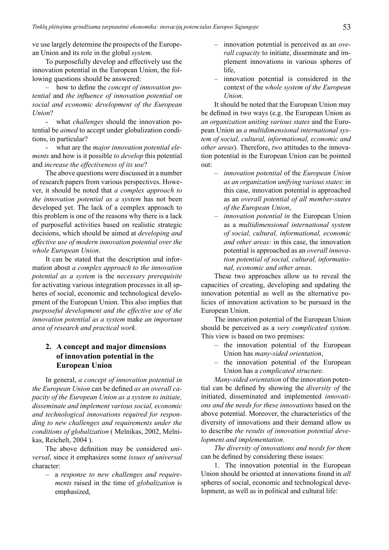ve use largely determine the prospects of the European Union and its role in the global *system*.

To purposefully develop and effectively use the innovation potential in the European Union, the following questions should be answered:

– how to define the *concept of innovation potential* and *the influence of innovation potential on social and economic development of the European Union*?

- what *challenges* should the innovation potential be *aimed* to accept under globalization conditions, in particular?

- what are the *major innovation potential elements* and how is it possible *to develop* this potential and *increase the effectiveness of its use*?

The above questions were discussed in a number of research papers from various perspectives. However, it should be noted that *a complex approach to the innovation potential as a system* has not been developed yet. The lack of a complex approach to this problem is one of the reasons why there is a lack of purposeful activities based on realistic strategic decisions, which should be aimed at *developing and effective use of modern innovation potential over the whole European Union*.

It can be stated that the description and information about *a complex approach to the innovation potential as a system* is the *necessary prerequisite* for activating various integration processes in all spheres of social, economic and technological development of the European Union. This also implies that *purposeful development and the effective use of the innovation potential as a system* make *an important area of research and practical work*.

# **2. A concept and major dimensions of innovation potential in the European Union**

In general, *a concept of innovation potential in the European Union* can be defined *as an overall capacity of the European Union as a system to initiate, disseminate and implement various social, economic and technological innovations required for responding to new challenges and requirements under the conditions of globalization* ( Melnikas, 2002, Melnikas, Reichelt, 2004 ).

The above definition may be considered *universal*, since it emphasizes some *issues of universal* character:

– a *response to new challenges and requirements* raised in the time of *globalization* is emphasized,

- innovation potential is perceived as an *overall capacity* to initiate, disseminate and implement innovations in various spheres of life,
- innovation potential is considered in the context of the *whole system of the European Union*.

It should be noted that the European Union may be defined in two ways (e.g. the European Union as *an organization uniting various states* and the European Union as *a multidimensional international system of social, cultural, informational, economic and other areas*). Therefore, *two* attitudes to the innovation potential in the European Union can be pointed out:

- *– innovation potential* of the *European Union as an organization unifying various states*: in this case, innovation potential is approached as an *overall potential of all member-states of the European Union*,
- *– innovation potential in* the European Union as a *multidimensional international system of social, cultural, informational, economic and other areas:* in this case, the innovation potential is approached as an *overall innovation potential of social, cultural, informational, economic and other areas*.

These two approaches allow us to reveal the capacities of creating, developing and updating the innovation potential as well as the alternative policies of innovation activation to be pursued in the European Union.

The innovation potential of the European Union should be perceived as a *very complicated system*. This view is based on two premises:

- the innovation potential of the European Union has *many-sided orientation*,
- the innovation potential of the European Union has a *complicated structure*.

*Many-sided orientation* of the innovation potential can be defined by showing the *diversity of* the initiated, disseminated and implemented *innovations and the needs for these innovations* based on the above potential. Moreover, the characteristics of the diversity of innovations and their demand allow us to describe *the results of innovation potential development and implementation*.

*The diversity of innovations and needs for them*  can be defined by considering these issues:

1. The innovation potential in the European Union should be oriented at innovations found in *all* spheres of social, economic and technological development, as well as in political and cultural life: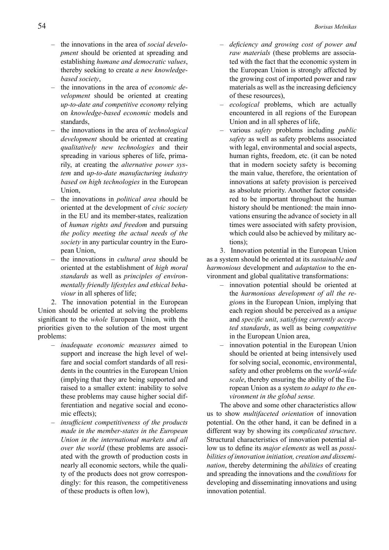- the innovations in the area of *social development* should be oriented at spreading and establishing *humane and democratic values*, thereby seeking to create *a new knowledgebased society*,
- the innovations in the area of *economic development* should be oriented at creating *up-to-date and competitive economy* relying on *knowledge-based economic* models and standards,
- the innovations in the area of *technological development* should be oriented at creating *qualitatively new technologies* and their spreading in various spheres of life, primarily, at creating the *alternative power system* and *up-to-date manufacturing industry based on high technologies* in the European Union,
- the innovations in *political area s*hould be oriented at the development of *civic society* in the EU and its member-states, realization of *human rights and freedom* and pursuing *the policy meeting the actual needs of the society* in any particular country in the European Union,
- the innovations in *cultural area* should be oriented at the establishment of *high moral standards* as well as *principles of environmentally friendly lifestyles and ethical behaviour* in all spheres of life;

2. The innovation potential in the European Union should be oriented at solving the problems significant to the *whole* European Union, with the priorities given to the solution of the most urgent problems:

- *– inadequate economic measures* aimed to support and increase the high level of welfare and social comfort standards of all residents in the countries in the European Union (implying that they are being supported and raised to a smaller extent: inability to solve these problems may cause higher social differentiation and negative social and economic effects);
- *– insufficient competitiveness of the products made in the member-states in the European Union in the international markets and all over the world* (these problems are associated with the growth of production costs in nearly all economic sectors, while the quality of the products does not grow correspondingly: for this reason, the competitiveness of these products is often low),
- *– deficiency and growing cost of power and raw materials* (these problems are associated with the fact that the economic system in the European Union is strongly affected by the growing cost of imported power and raw materials as well as the increasing deficiency of these resources),
- *– ecological* problems, which are actually encountered in all regions of the European Union and in all spheres of life,
- various *safety* problems including *public safety* as well as safety problems associated with legal, environmental and social aspects, human rights, freedom, etc. (it can be noted that in modern society safety is becoming the main value, therefore, the orientation of innovations at safety provision is perceived as absolute priority. Another factor considered to be important throughout the human history should be mentioned: the main innovations ensuring the advance of society in all times were associated with safety provision, which could also be achieved by military actions);

3. Innovation potential in the European Union as a system should be oriented at its *sustainable and harmonious* development and *adaptation* to the environment and global qualitative transformations:

- innovation potential should be oriented at the *harmonious development of all the region*s in the European Union, implying that each region should be perceived as a *unique* and *specific unit*, *satisfying currently accepted standards*, as well as being *competitive* in the European Union area,
- innovation potential in the European Union should be oriented at being intensively used for solving social, economic, environmental, safety and other problems on the *world-wide scale*, thereby ensuring the ability of the European Union as a system *to adapt to the environment in the global sense.*

The above and some other characteristics allow us to show *multifaceted orientation* of innovation potential. On the other hand, it can be defined in a different way by showing its *complicated structure*. Structural characteristics of innovation potential allow us to define its *major elements* as well as *possibilities of innovation initiation, creation and dissemination*, thereby determining the *abilities* of creating and spreading the innovations and the *conditions* for developing and disseminating innovations and using innovation potential.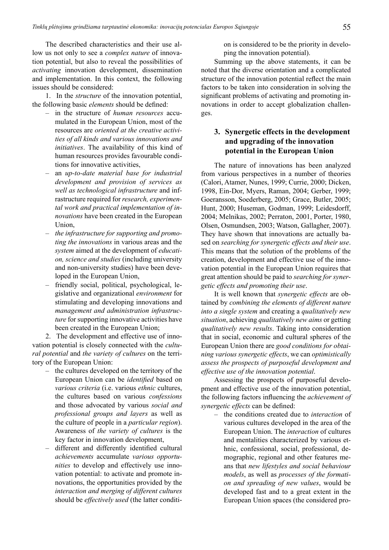The described characteristics and their use allow us not only to see a *complex nature* of innovation potential, but also to reveal the possibilities of *activating* innovation development, dissemination and implementation. In this context, the following issues should be considered:

1. In the *structure* of the innovation potential, the following basic *elements* should be defined:

- in the structure of *human resources* accumulated in the European Union, most of the resources are *oriented at the creative activities of all kinds and various innovations and initiatives*. The availability of this kind of human resources provides favourable conditions for innovative activities,
- an *up-to-date material base for industrial development and provision of services as well as technological infrastructure* and infrastructure required for *research, experimental work and practical implementation of innovations* have been created in the European Union,
- *– the infrastructure for supporting and promoting the innovations* in various areas and the *system* aimed at the development of *education, science and studies* (including university and non-university studies) have been developed in the European Union,
- friendly social, political, psychological, legislative and organizational *environment* for stimulating and developing innovations and *management and administration infrastructure* for supporting innovative activities have been created in the European Union;

2. The development and effective use of innovation potential is closely connected with the *cultural potential* and *the variety of cultures* on the territory of the European Union:

- the cultures developed on the territory of the European Union can be *identified* based on *various criteria* (i.e. various *ethnic* cultures, the cultures based on various *confessions* and those advocated by various *social and professional groups and layers* as well as the culture of people in a *particular region*). Awareness of *the variety of cultures* is the key factor in innovation development,
- different and differently identified cultural *achievements* accumulate *various opportunities* to develop and effectively use innovation potential: to activate and promote innovations, the opportunities provided by the *interaction and merging of different cultures* should be *effectively used* (the latter conditi-

on is considered to be the priority in developing the innovation potential).

Summing up the above statements, it can be noted that the diverse orientation and a complicated structure of the innovation potential reflect the main factors to be taken into consideration in solving the significant problems of activating and promoting innovations in order to accept globalization challenges.

# **3. Synergetic effects in the development and upgrading of the innovation potential in the European Union**

The nature of innovations has been analyzed from various perspectives in a number of theories (Calori, Atamer, Nunes, 1999; Currie, 2000; Dicken, 1998, Ein-Dor, Myers, Raman, 2004; Gerber, 1999; Goeransson, Soederberg, 2005; Grace, Butler, 2005; Hunt, 2000; Huseman, Godman, 1999; Leidesdorff, 2004; Melnikas, 2002; Perraton, 2001, Porter, 1980, Olsen, Osmundsen, 2003; Watson, Gallagher, 2007). They have shown that innovations are actually based on *searching for synergetic effects and their use*. This means that the solution of the problems of the creation, development and effective use of the innovation potential in the European Union requires that great attention should be paid to *searching for synergetic effects and promoting their use*.

It is well known that *synergetic effects* are obtained by *combining the elements of different nature into a single system* and creating a *qualitatively new situation*, achieving *qualitatively new aims* or getting *qualitatively new results*. Taking into consideration that in social, economic and cultural spheres of the European Union there are *good conditions for obtaining various synergetic effects*, we can *optimistically assess the prospects of purposeful development and effective use of the innovation potential*.

Assessing the prospects of purposeful development and effective use of the innovation potential, the following factors influencing the *achievement of synergetic effects* can be defined:

– the conditions created due to *interaction* of various cultures developed in the area of the European Union. The *interaction* of cultures and mentalities characterized by various ethnic, confessional, social, professional, demographic, regional and other features means that *new lifestyles and social behaviour models*, as well as *processes of the formation and spreading of new values*, would be developed fast and to a great extent in the European Union spaces (the considered pro-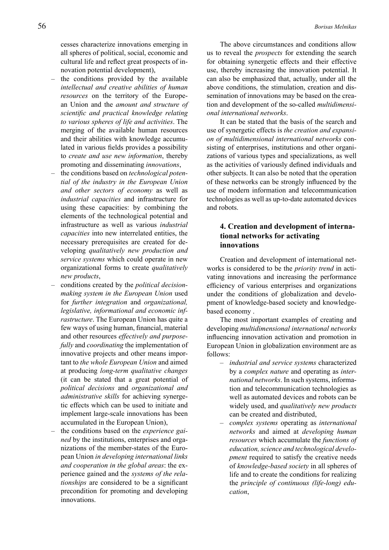cesses characterize innovations emerging in all spheres of political, social, economic and cultural life and reflect great prospects of innovation potential development),

- the conditions provided by the available *intellectual and creative abilities of human resources* on the territory of the European Union and the *amount and structure of scientific and practical knowledge relating to various spheres of life and activities*. The merging of the available human resources and their abilities with knowledge accumulated in various fields provides a possibility to *create and use new information*, thereby promoting and disseminating *innovations*,
- the conditions based on *technological potential of the industry in the European Union and other sectors of economy* as well as *industrial capacities* and infrastructure for using these capacities: by combining the elements of the technological potential and infrastructure as well as various *industrial capacities* into new interrelated entities, the necessary prerequisites are created for developing *qualitatively new production and service systems* which could operate in new organizational forms to create *qualitatively new products*,
- conditions created by the *political decisionmaking system in the European Union* used for *further integration* and *organizational, legislative, informational and economic infrastructure*. The European Union has quite a few ways of using human, financial, material and other resources *effectively and purposefully* and *coordinating* the implementation of innovative projects and other means important to *the whole European Union* and aimed at producing *long-term qualitative changes* (it can be stated that a great potential of *political decisions* and *organizational and administrative skills* for achieving synergetic effects which can be used to initiate and implement large-scale innovations has been accumulated in the European Union),
- the conditions based on the *experience gained* by the institutions, enterprises and organizations of the member-states of the European Union *in developing international links and cooperation in the global areas*: the experience gained and the *systems of the relationships* are considered to be a significant precondition for promoting and developing innovations.

The above circumstances and conditions allow us to reveal the *prospects* for extending the search for obtaining synergetic effects and their effective use, thereby increasing the innovation potential. It can also be emphasized that, actually, under all the above conditions, the stimulation, creation and dissemination of innovations may be based on the creation and development of the so-called *multidimensional international networks*.

It can be stated that the basis of the search and use of synergetic effects is *the creation and expansion of multidimensional international networks* consisting of enterprises, institutions and other organizations of various types and specializations, as well as the activities of variously defined individuals and other subjects. It can also be noted that the operation of these networks can be strongly influenced by the use of modern information and telecommunication technologies as well as up-to-date automated devices and robots.

### **4. Creation and development of international networks for activating innovations**

Creation and development of international networks is considered to be the *priority trend* in activating innovations and increasing the performance efficiency of various enterprises and organizations under the conditions of globalization and development of knowledge-based society and knowledgebased economy .

The most important examples of creating and developing *multidimensional international networks* influencing innovation activation and promotion in European Union in globalization environment are as follows:

- *– industrial and service systems* characterized by a *complex nature* and operating as *international networks*. In such systems, information and telecommunication technologies as well as automated devices and robots can be widely used, and *qualitatively new products* can be created and distributed,
- *– complex systems* operating as *international networks* and aimed at *developing human resources* which accumulate the *functions of education, science and technological development* required to satisfy the creative needs of *knowledge-based society* in all spheres of life and to create the conditions for realizing the *principle of continuous (life-long) education*,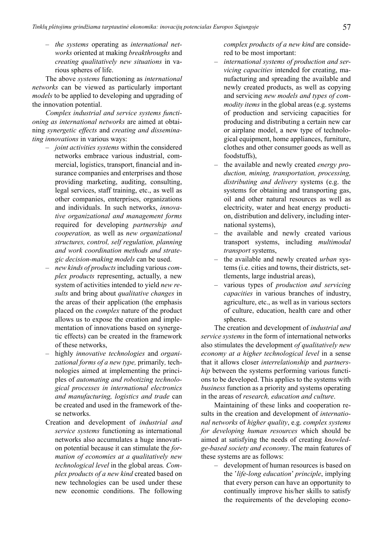*– the systems* operating as *international networks* oriented at making *breakthroughs* and *creating qualitatively new situations* in various spheres of life.

The above *systems* functioning as *international networks* can be viewed as particularly important *models* to be applied to developing and upgrading of the innovation potential.

*Complex industrial and service systems functioning as international networks* are aimed at obtaining *synergetic effects* and *creating and disseminating innovations* in various ways:

- *– joint activities systems* within the considered networks embrace various industrial, commercial, logistics, transport, financial and insurance companies and enterprises and those providing marketing, auditing, consulting, legal services, staff training, etc., as well as other companies, enterprises, organizations and individuals. In such networks, *innovative organizational and management forms*  required for developing *partnership and cooperation,* as well as *new organizational structures, control, self regulation, planning and work coordination methods and strategic decision-making models* can be used.
- *– new kinds of products* including various *complex products* representing, actually, a new system of activities intended to yield *new results* and bring about *qualitative changes* in the areas of their application (the emphasis placed on the *complex* nature of the product allows us to expose the creation and implementation of innovations based on synergetic effects) can be created in the framework of these networks,
- highly *innovative technologies* and *organizational forms of a new type,* primarily*,* technologies aimed at implementing the principles of *automating and robotizing technological processes in international electronics and manufacturing, logistics and trade* can be created and used in the framework of these networks.
- Creation and development of *industrial and service systems* functioning as international networks also accumulates a huge innovation potential because it can stimulate the *formation of economies at a qualitatively new technological level* in the global areas*. Complex products of a new kind* created based on new technologies can be used under these new economic conditions. The following

*complex products of a new kind* are considered to be most important:

- *– international systems of production and servicing capacities* intended for creating, manufacturing and spreading the available and newly created products, as well as copying and servicing *new models and types of commodity items* in the global areas (e.g. systems of production and servicing capacities for producing and distributing a certain new car or airplane model, a new type of technological equipment, home appliances, furniture, clothes and other consumer goods as well as foodstuffs),
- the available and newly created *energy production, mining, transportation, processing, distributing and delivery* systems (e.g. the systems for obtaining and transporting gas, oil and other natural resources as well as electricity, water and heat energy production, distribution and delivery, including international systems),
- the available and newly created various transport systems, including *multimodal transport* systems,
- the available and newly created *urban* systems (i.e. cities and towns, their districts, settlements, large industrial areas),
- various types of *production and servicing capacities* in various branches of industry, agriculture, etc., as well as in various sectors of culture, education, health care and other spheres.

The creation and development of *industrial and service systems* in the form of international networks also stimulates the development *of qualitatively new economy at a higher technological level* in a sense that it allows closer *interrelationship* and *partnership* between the systems performing various functions to be developed. This applies to the systems with *business* function as a priority and systems operating in the areas of *research, education and culture*.

Maintaining of these links and cooperation results in the creation and development of *international networks* of *higher quality*, e.g. *complex systems for developing human resources* which should be aimed at satisfying the needs of creating *knowledge-based society and economy*. The main features of these systems are as follows:

– development of human resources is based on the '*life-long education*' *principle*, implying that every person can have an opportunity to continually improve his/her skills to satisfy the requirements of the developing econo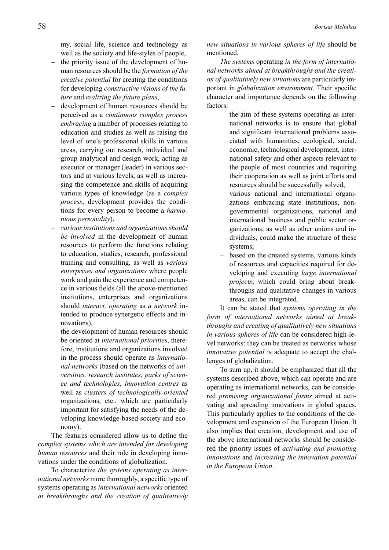my, social life, science and technology as well as the society and life-styles of people,

- the priority issue of the development of human resources should be the *formation of the creative potential* for creating the conditions for developing *constructive visions of the future* and *realizing the future plans*,
- development of human resources should be perceived as a *continuous complex process embracing* a number of processes relating to education and studies as well as raising the level of one's professional skills in various areas, carrying out research, individual and group analytical and design work, acting as executor or manager (leader) in various sectors and at various levels, as well as increasing the competence and skills of acquiring various types of knowledge (as a *complex process*, development provides the conditions for every person to become a *harmonious personality*),
- *– various institutions and organizations should be involved* in the development of human resources to perform the functions relating to education, studies, research, professional training and consulting, as well as *various enterprises and organizations* where people work and gain the experience and competence in various fields (all the above-mentioned institutions, enterprises and organizations should *interact, operating* as *a network* intended to produce synergetic effects and innovations),
- the development of human resources should be oriented at *international priorities*, therefore, institutions and organizations involved in the process should operate as *international networks* (based on the networks of *universities, research institutes, parks of science and technologies*, *innovation centres* as well as *clusters of technologically-oriented* organizations, etc., which are particularly important for satisfying the needs of the developing knowledge-based society and economy).

The features considered allow us to define the *complex systems which are intended for developing human resources* and their role in developing innovations under the conditions of globalization.

To characterize *the systems operating as international networks* more thoroughly, a specific type of systems operating as *international networks* oriented *at breakthroughs and the creation of qualitatively*  *new situations in various spheres of life* should be mentioned*.*

*The systems* operating *in the form of international networks aimed at breakthroughs and the creation of qualitatively new situations* are particularly important in *globalization environment.* Their specific character and importance depends on the following factors:

- the aim of these systems operating as international networks is to ensure that global and significant international problems associated with humanities, ecological, social, economic, technological development, international safety and other aspects relevant to the people of most countries and requiring their cooperation as well as joint efforts and resources should be successfully solved,
- various national and international organizations embracing state institutions, nongovernmental organizations, national and international business and public sector organizations, as well as other unions and individuals, could make the structure of these systems,
- based on the created systems, various kinds of resources and capacities required for developing and executing *large international projects*, which could bring about breakthroughs and qualitative changes in various areas, can be integrated.

It can be stated that *systems operating in the form of international networks aimed at breakthroughs and creating of qualitatively new situations in various spheres of life* can be considered high-level networks: they can be treated as networks whose *innovative potential* is adequate to accept the challenges of globalization.

To sum up, it should be emphasized that all the systems described above, which can operate and are operating as international networks, can be considered *promising organizational forms* aimed at activating and spreading innovations in global spaces. This particularly applies to the conditions of the development and expansion of the European Union. It also implies that creation, development and use of the above international networks should be considered the priority issues of *activating and promoting innovations* and *increasing the innovation potential in the European Union*.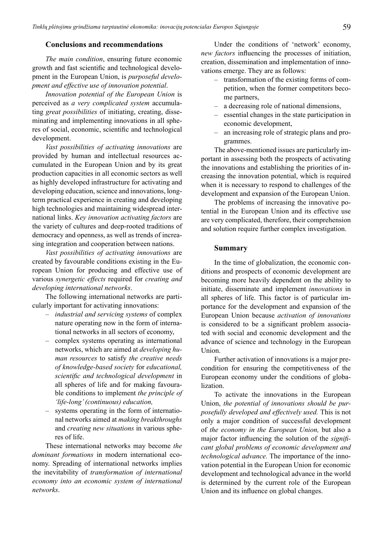#### **Conclusions and recommendations**

*The main condition*, ensuring future economic growth and fast scientific and technological development in the European Union, is *purposeful development and effective use of innovation potential*.

*Innovation potential of the European Union* is perceived as *a very complicated system* accumulating *great possibilities* of initiating, creating, disseminating and implementing innovations in all spheres of social, economic, scientific and technological development.

*Vast possibilities of activating innovations* are provided by human and intellectual resources accumulated in the European Union and by its great production capacities in all economic sectors as well as highly developed infrastructure for activating and developing education, science and innovations, longterm practical experience in creating and developing high technologies and maintaining widespread international links. *Key innovation activating factors* are the variety of cultures and deep-rooted traditions of democracy and openness, as well as trends of increasing integration and cooperation between nations.

*Vast possibilities of activating innovations* are created by favourable conditions existing in the European Union for producing and effective use of various *synergetic effects* required for *creating and developing international networks*.

The following international networks are particularly important for activating innovations:

- *– industrial and servicing systems* of complex nature operating now in the form of international networks in all sectors of economy,
- complex systems operating as international networks, which are aimed at *developing human resources* to satisfy *the creative needs of knowledge-based society* for *educational, scientific and technological development* in all spheres of life and for making favourable conditions to implement *the principle of 'life-long' (continuous) education,*
- systems operating in the form of international networks aimed at *making breakthroughs*  and *creating new situations* in various spheres of life.

These international networks may become *the dominant formations* in modern international economy. Spreading of international networks implies the inevitability of *transformation of international economy into an economic system of international networks*.

Under the conditions of 'network' economy, *new factors* influencing the processes of initiation, creation, dissemination and implementation of innovations emerge. They are as follows:

- transformation of the existing forms of competition, when the former competitors become partners,
- a decreasing role of national dimensions,
- essential changes in the state participation in economic development,
- an increasing role of strategic plans and programmes.

The above-mentioned issues are particularly important in assessing both the prospects of activating the innovations and establishing the priorities of increasing the innovation potential, which is required when it is necessary to respond to challenges of the development and expansion of the European Union.

The problems of increasing the innovative potential in the European Union and its effective use are very complicated, therefore, their comprehension and solution require further complex investigation.

#### **Summary**

In the time of globalization, the economic conditions and prospects of economic development are becoming more heavily dependent on the ability to initiate, disseminate and implement *innovations* in all spheres of life. This factor is of particular importance for the development and expansion of the European Union because *activation of innovations* is considered to be a significant problem associated with social and economic development and the advance of science and technology in the European Union.

Further activation of innovations is a major precondition for ensuring the competitiveness of the European economy under the conditions of globalization.

To activate the innovations in the European Union, *the potential of innovations should be purposefully developed and effectively used.* This is not only a major condition of successful development of *the economy in the European Union,* but also a major factor influencing the solution of the *significant global problems of economic development and technological advance.* The importance of the innovation potential in the European Union for economic development and technological advance in the world is determined by the current role of the European Union and its influence on global changes.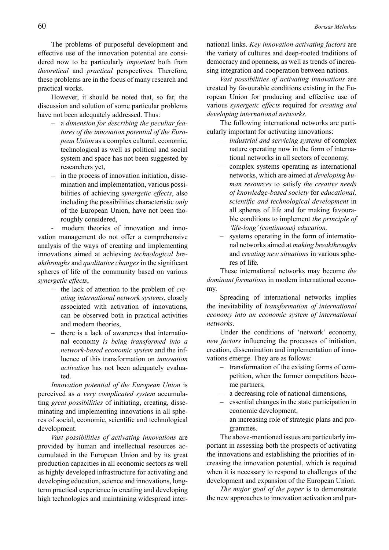The problems of purposeful development and effective use of the innovation potential are considered now to be particularly *important* both from *theoretical* and *practical* perspectives. Therefore, these problems are in the focus of many research and practical works.

However, it should be noted that, so far, the discussion and solution of some particular problems have not been adequately addressed. Thus:

- a *dimension for describing the peculiar features of the innovation potential of the European Union* as a complex cultural, economic, technological as well as political and social system and space has not been suggested by researchers yet,
- in the process of innovation initiation, dissemination and implementation, various possibilities of achieving *synergetic effects*, also including the possibilities characteristic *only*  of the European Union, have not been thoroughly considered,

- modern theories of innovation and innovation management do not offer a comprehensive analysis of the ways of creating and implementing innovations aimed at achieving *technological breakthroughs* and *qualitative changes* in the significant spheres of life of the community based on various *synergetic effects*,

- the lack of attention to the problem of *creating international network systems*, closely associated with activation of innovations, can be observed both in practical activities and modern theories,
- there is a lack of awareness that international economy *is being transformed into a network-based economic system* and the influence of this transformation on *innovation activation* has not been adequately evaluated.

*Innovation potential of the European Union* is perceived as *a very complicated system* accumulating *great possibilities* of initiating, creating, disseminating and implementing innovations in all spheres of social, economic, scientific and technological development.

*Vast possibilities of activating innovations* are provided by human and intellectual resources accumulated in the European Union and by its great production capacities in all economic sectors as well as highly developed infrastructure for activating and developing education, science and innovations, longterm practical experience in creating and developing high technologies and maintaining widespread international links. *Key innovation activating factors* are the variety of cultures and deep-rooted traditions of democracy and openness, as well as trends of increasing integration and cooperation between nations.

*Vast possibilities of activating innovations* are created by favourable conditions existing in the European Union for producing and effective use of various *synergetic effects* required for *creating and developing international networks*.

The following international networks are particularly important for activating innovations:

- *– industrial and servicing systems* of complex nature operating now in the form of international networks in all sectors of economy,
- complex systems operating as international networks, which are aimed at *developing human resources* to satisfy *the creative needs of knowledge-based society* for *educational, scientific and technological development* in all spheres of life and for making favourable conditions to implement *the principle of 'life-long' (continuous) education,*
- systems operating in the form of international networks aimed at *making breakthroughs*  and *creating new situations* in various spheres of life.

These international networks may become *the dominant formations* in modern international economy.

Spreading of international networks implies the inevitability of *transformation of international economy into an economic system of international networks*.

Under the conditions of 'network' economy, *new factors* influencing the processes of initiation, creation, dissemination and implementation of innovations emerge. They are as follows:

- transformation of the existing forms of competition, when the former competitors become partners,
- a decreasing role of national dimensions,
- essential changes in the state participation in economic development,
- an increasing role of strategic plans and programmes.

The above-mentioned issues are particularly important in assessing both the prospects of activating the innovations and establishing the priorities of increasing the innovation potential, which is required when it is necessary to respond to challenges of the development and expansion of the European Union.

*The major goal of the paper* is to demonstrate the new approaches to innovation activation and pur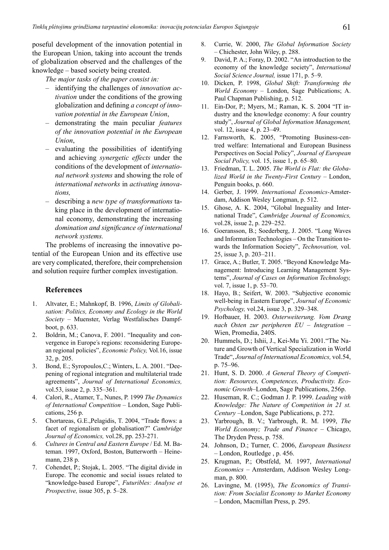poseful development of the innovation potential in the European Union, taking into account the trends of globalization observed and the challenges of the knowledge – based society being created.

*The major tasks of the paper consist in:*

- identifying the challenges of *innovation activation* under the conditions of the growing globalization and defining *a concept of innovation potential in the European Union*,
- demonstrating the main peculiar *features of the innovation potential in the European Union*,
- evaluating the possibilities of identifying and achieving *synergetic effects* under the conditions of the development of *international network systems* and showing the role of *international networks* in *activating innovations,*
- describing a *new type of transformations* taking place in the development of international economy, demonstrating the increasing *domination and significance of international network systems.*

The problems of increasing the innovative potential of the European Union and its effective use are very complicated, therefore, their comprehension and solution require further complex investigation.

#### **References**

- 1. Altvater, E.; Mahnkopf, B. 1996, *Limits of Globalisation: Politics, Economy and Ecology in the World Society* – Muenster, Verlag Westfalisches Dampfboot, p. 633.
- 2. Boldrin, M.; Canova, F. 2001. "Inequality and convergence in Europe's regions: reconsidering European regional policies", *Economic Policy,* Vol.16, issue 32, p. 205.
- 3. Bond, E.; Syropoulos,C.; Winters, L. A. 2001. "Deepening of regional integration and multilaterial trade agreements", *Journal of International Economics,*  vol.53, issue 2, p. 335–361.
- 4. Calori, R., Atamer, T., Nunes, P. 1999 *The Dynamics of International Competition* – London, Sage Publications, 256 p.
- 5. Chortareas, G.E.,Pelagidis, T. 2004, "Trade flows: a facet of regionalism or globalisation?" *Cambridge Journal of Economics,* vol.28, pp. 253-271.
- *6. Cultures in Central and Eastern Europe* / Ed. M. Bateman. 1997, Oxford, Boston, Butterworth – Heinemann, 238 p.
- 7. Cohendet, P.; Stojak, L. 2005. "The digital divide in Europe. The economic and social issues related to "knowledge-based Europe", *Futuribles: Analyse et Prospective,* issue 305, p. 5–28.
- 8. Currie, W. 2000, *The Global Information Society*  – Chichester, John Wiley, p. 288.
- 9. David, P. A.; Foray, D. 2002. "An introduction to the economy of the knowledge society", *International Social Science Journal,* issue 171, p. 5–9.
- 10. Dicken, P. 1998, *Global Shift: Transforming the World Economy* – London, Sage Publications; A. Paul Chapman Publishing, p. 512.
- 11. Ein-Dor, P.; Myers, M.; Raman, K. S. 2004 "IT industry and the knowledge economy: A four country study", *Journal of Global Information Management,*  vol. 12, issue 4, p. 23–49.
- 12. Farnsworth, K. 2005, "Promoting Business-centred welfare: International and European Business Perspectives on Social Policy", *Journal of European Social Policy,* vol. 15, issue 1, p. 65–80.
- 13. Friedman, T. L. 2005. *The World is Flat: the Globalized World in the Twenty-First Century* – London, Penguin books, p. 660.
- 14. Gerber, J. 1999. *International Economics-*Amsterdam, Addison Wesley Longman, p. 512.
- 15. Ghose, A. K. 2004, "Global Ineguality and International Trade", *Cambridge Journal of Economics,*  vol.28, issue 2, p. 229–252.
- 16. Goeransson, B.; Soederberg, J. 2005. "Long Waves and Information Technologies – On the Transition towards the Information Society", *Technovation,* vol. 25, issue 3, p. 203–211.
- 17. Grace, A.; Butler, T. 2005. "Beyond Knowledge Management: Introducing Learning Management Systems", *Journal of Cases on Information Technology,*  vol. 7, issue 1, p. 53–70.
- 18. Hayo, B.; Seifert, W. 2003. "Subjective economic well-being in Eastern Europe", *Journal of Economic Psychology,* vol.24, issue 3, p. 329–348.
- 19. Hofbauer, H. 2003. *Osterweiterung. Vom Drang nach Osten zur peripheren EU – Integration* – Wien, Promedia, 240S.
- 20. Hummels, D.; Ishii, J., Kei-Mu Yi. 2001."The Nature and Growth of Vertical Specialization in World Trade", *Journal of International Economics,* vol.54, p. 75–96.
- 21. Hunt, S. D. 2000. *A General Theory of Competition: Resources, Competences, Productivity. Economic Growth*–London, Sage Publications, 256p.
- 22. Huseman, R. C.; Godman J. P. 1999. *Leading with Knowledge: The Nature of Competition in 21 st. Century* –London, Sage Publications, p. 272.
- 23. Yarbrough, B. V.; Yarbrough, R. M. 1999, *The World Economy; Trade and Finance* – Chicago, The Dryden Press, p. 758.
- 24. Johnson, D.; Turner, C. 2006, *European Business*  – London, Routledge , p. 456.
- 25. Krugman, P.; Obstfeld, M. 1997, *International Economics* – Amsterdam, Addison Wesley Longman, p. 800.
- 26. Lavingne, M. (1995), *The Economics of Transition: From Socialist Economy to Market Economy* – London, Macmillan Press, p. 295.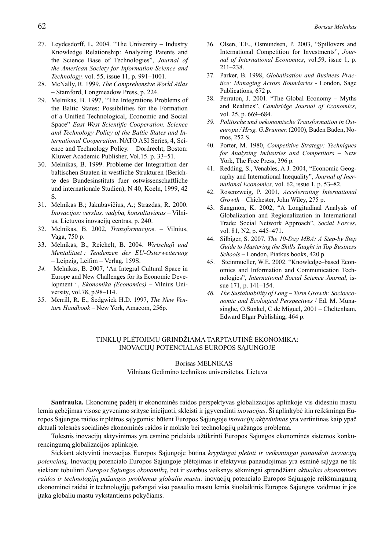- 27. Leydesdorff, L. 2004. "The University Industry Knowledge Relationship: Analyzing Patents and the Science Base of Technologies", *Journal of the American Society for Information Science and Technology,* vol. 55, issue 11, p. 991–1001.
- 28. McNally, R. 1999, *The Comprehensive World Atlas* – Stamford, Longmeadow Press, p. 224.
- 29. Melnikas, B. 1997, "The Integrations Problems of the Baltic States: Possibilities for the Formation of a Unified Technological, Economic and Social Space" *East West Scientific Cooperation. Science and Technology Policy of the Baltic States and International Cooperation*. NATO ASI Series, 4, Science and Technology Policy. – Dordrecht; Boston: Kluwer Academic Publisher, Vol.15. p. 33–51.
- 30. Melnikas, B. 1999. Probleme der Integrattion der baltischen Staaten in westliche Strukturen (Berichte des Bundesinstituts fuer ostwissenschaftliche und internationale Studien), N 40, Koeln, 1999, 42 S.
- 31. Melnikas B.; Jakubavičius, A.; Strazdas, R. 2000. *Inovacijos: verslas, vadyba, konsultavimas* – Vilnius, Lietuvos inovacijų centras, p. 240.
- 32. Melnikas, B. 2002, *Transformacijo*s. Vilnius, Vaga, 750 p.
- 33. Melnikas, B., Reichelt, B. 2004. *Wirtschaft und Mentalitaet : Tendenzen der EU-Osterweiterung*  – Leipzig, Leifim *–* Verlag, 159S.
- *34.* Melnikas, B. 2007, 'An Integral Cultural Space in Europe and New Challenges for its Economic Development ' , *Ekonomika (Economics)* – Vilnius University, vol.78, p.98–114.
- 35. Merrill, R. E., Sedgwick H.D. 1997, *The New Venture Handbook* – New York, Amacom, 256p.
- 36. Olsen, T.E., Osmundsen, P. 2003, "Spillovers and International Competition for Investments", *Journal of International Economics*, vol.59, issue 1, p. 211–238.
- 37. Parker, B. 1998, *Globalisation and Business Practice: Managing Across Boundaries* - London, Sage Publications, 672 p.
- 38. Perraton, J. 2001. "The Global Economy Myths and Realities", *Cambridge Journal of Economics,*  vol. 25, p. 669–684.
- *39. Politische und oekonomische Transformation in Osteuropa / Hrsg. G.Brunner,* (2000), Baden Baden, Nomos, 252 S.
- 40. Porter, M. 1980, *Competitive Strategy: Techniques for Analyzing Industries and Competitors* – New York, The Free Press, 396 p.
- 41. Redding, S., Venables, A.J. 2004, "Economic Geography and International Inequality", *Journal of Inernational Economics,* vol. 62, issue 1, p. 53–82.
- 42. Rosenzweig, P. 2001, *Accelerrating International Growth* – Chichester, John Wiley, 275 p.
- 43. Sangmon, K. 2002, "A Longitudinal Analysis of Globalization and Regionalization in International Trade: Social Network Approach", *Social Forces*, vol. 81, N2, p. 445–471.
- 44. Silbiger, S. 2007, *The 10-Day MBA: A Step-by Step Guide to Mastering the Skills Taught in Top Business Schools* – London, Piatkus books, 420 p.
- 45. Steinmueller, W.E. 2002. "Knowledge–based Economies and Information and Communication Technologies", *International Social Science Journal,* issue 171, p. 141–154.
- *46. The Sustainability of Long Term Growth: Socioeconomic and Ecological Perspectives* / Ed. M. Munasinghe, O.Sunkel, C de Miguel, 2001 – Cheltenham, Edward Elgar Publishing, 464 p.

### Tinklų plėtojimu grindžiama tarptautinė ekonomika: inovacijų potencialas Europos Sąjungoje

Borisas MELNIKAS Vilniaus Gedimino technikos universitetas, Lietuva

**Santrauka.** Ekonominę padėtį ir ekonominės raidos perspektyvas globalizacijos aplinkoje vis didesniu mastu lemia gebėjimas visose gyvenimo srityse inicijuoti, skleisti ir įgyvendinti *inovacijas*. Ši aplinkybė itin reikšminga Europos Sąjungos raidos ir plėtros sąlygomis: būtent Europos Sąjungoje *inovacijų aktyvinimas* yra vertintinas kaip ypač aktuali tolesnės socialinės ekonominės raidos ir mokslo bei technologijų pažangos problema.

Tolesnis inovacijų aktyvinimas yra esminė prielaida užtikrinti Europos Sąjungos ekonominės sistemos konkurencingumą globalizacijos aplinkoje.

Siekiant aktyvinti inovacijas Europos Sąjungoje būtina *kryptingai plėtoti ir veiksmingai panaudoti inovacijų potencialą.* Inovacijų potencialo Europos Sąjungoje plėtojimas ir efektyvus panaudojimas yra esminė sąlyga ne tik siekiant tobulinti *Europos Sąjungos ekonomiką*, bet ir svarbus veiksnys sėkmingai sprendžiant *aktualias ekonominės raidos ir technologijų pažangos problemas globaliu mastu:* inovacijų potencialo Europos Sąjungoje reikšmingumą ekonominei raidai ir technologijų pažangai viso pasaulio mastu lemia šiuolaikinis Europos Sąjungos vaidmuo ir jos įtaka globaliu mastu vykstantiems pokyčiams.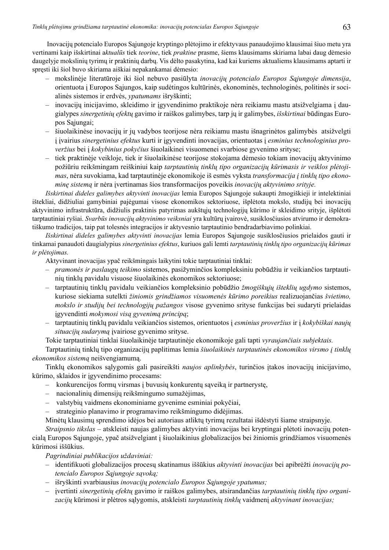Inovacijų potencialo Europos Sąjungoje kryptingo plėtojimo ir efektyvaus panaudojimo klausimai šiuo metu yra vertinami kaip išskirtinai a*ktualūs* tiek *teorine*, tiek *praktine* prasme, šiems klausimams skiriama labai daug dėmesio daugelyje mokslinių tyrimų ir praktinių darbų. Vis dėlto pasakytina, kad kai kuriems aktualiems klausimams aptarti ir spręsti iki šiol buvo skiriama aiškiai nepakankamai dėmesio:

- mokslinėje literatūroje iki šiol nebuvo pasiūlyta *inovacijų potencialo Europos Sąjungoje dimensija*, orientuota į Europos Sąjungos, kaip sudėtingos kultūrinės, ekonominės, technologinės, politinės ir socialinės sistemos ir erdvės, *ypatumams* išryškinti;
- inovacijų inicijavimo, skleidimo ir įgyvendinimo praktikoje nėra reikiamu mastu atsižvelgiama į daugialypes *sinergetinių efektų* gavimo ir raiškos galimybes, tarp jų ir galimybes, *išskirtinai* būdingas Europos Sąjungai;
- šiuolaikinėse inovacijų ir jų vadybos teorijose nėra reikiamu mastu išnagrinėtos galimybės atsižvelgti į įvairius *sinergetinius efektus* kurti ir įgyvendinti inovacijas, orientuotas į *esminius technologinius proveržius* bei į *kokybinius pokyčius* šiuolaikinei visuomenei svarbiose gyvenimo srityse;
- tiek praktinėje veikloje, tiek ir šiuolaikinėse teorijose stokojama dėmesio tokiam inovacijų aktyvinimo požiūriu reikšmingam reiškiniui kaip *tarptautinių tinklų tipo organizacijų kūrimasis ir veiklos plėtojimas*, nėra suvokiama, kad tarptautinėje ekonomikoje iš esmės vyksta *transformacija į tinklų tipo ekonominę sistemą* ir nėra įvertinamas šios transformacijos poveikis *inovacijų aktyvinimo srityje.*

*Išskirtinai dideles galimybes aktyvinti inovacijas* lemia Europos Sąjungoje sukaupti žmogiškieji ir intelektiniai ištekliai, didžiuliai gamybiniai pajėgumai visose ekonomikos sektoriuose, išplėtota mokslo, studijų bei inovacijų aktyvinimo infrastruktūra, didžiulis praktinis patyrimas aukštųjų technologijų kūrimo ir skleidimo srityje, išplėtoti tarptautiniai ryšiai. *Svarbūs inovacijų aktyvinimo veiksniai* yra kultūrų įvairovė, susiklosčiusios atvirumo ir demokratiškumo tradicijos, taip pat tolesnės integracijos ir aktyvesnio tarptautinio bendradarbiavimo polinkiai.

*Išskirtinai dideles galimybes aktyvinti inovacijas* lemia Europos Sąjungoje susiklosčiusios prielaidos gauti ir tinkamai panaudoti daugialypius *sinergetinius efektus*, kuriuos gali lemti *tarptautinių tinklų tipo organizacijų kūrimas ir plėtojimas.*

Aktyvinant inovacijas ypač reikšmingais laikytini tokie tarptautiniai tinklai:

- *– pramonės ir paslaugų teikimo* sistemos, pasižyminčios kompleksiniu pobūdžiu ir veikiančios tarptautinių tinklų pavidalu visuose šiuolaikinės ekonomikos sektoriuose;
- tarptautinių tinklų pavidalu veikiančios kompleksinio pobūdžio *žmogiškųjų išteklių ugdymo* sistemos, kuriose siekiama sutelkti *žiniomis grindžiamos visuomenės kūrimo poreikius* realizuojančias *švietimo, mokslo ir studijų bei technologijų pažangos* visose gyvenimo srityse funkcijas bei sudaryti prielaidas įgyvendinti *mokymosi visą gyvenimą principą*;
- tarptautinių tinklų pavidalu veikiančios sistemos, orientuotos į *esminius proveržius* ir į *kokybiškai naujų situacijų sudarymą* įvairiose gyvenimo srityse.

Tokie tarptautiniai tinklai šiuolaikinėje tarptautinėje ekonomikoje gali tapti *vyraujančiais subjektais.*

Tarptautinių tinklų tipo organizacijų paplitimas lemia *šiuolaikinės tarptautinės ekonomikos virsmo į tinklų ekonomikos sistemą* neišvengiamumą.

Tinklų ekonomikos sąlygomis gali pasireikšti *naujos aplinkybės*, turinčios įtakos inovacijų inicijavimo, kūrimo, sklaidos ir įgyvendinimo procesams:

- konkurencijos formų virsmas į buvusių konkurentų sąveiką ir partnerystę,
- nacionalinių dimensijų reikšmingumo sumažėjimas,
- valstybių vaidmens ekonominiame gyvenime esminiai pokyčiai,
- strateginio planavimo ir programavimo reikšmingumo didėjimas.

Minėtų klausimų sprendimo idėjos bei autoriaus atliktų tyrimų rezultatai išdėstyti šiame straipsnyje.

*Straipsnio tikslas* – atskleisti naujas galimybes aktyvinti inovacijas bei kryptingai plėtoti inovacijų potencialą Europos Sąjungoje, ypač atsižvelgiant į šiuolaikinius globalizacijos bei žiniomis grindžiamos visuomenės kūrimosi iššūkius.

*Pagrindiniai publikacijos uždaviniai:*

- identifikuoti globalizacijos procesų skatinamus iššūkius *aktyvinti inovacijas* bei apibrėžti *inovacijų potencialo Europos Sąjungoje sąvoką;*
- išryškinti svarbiausius *inovacijų potencialo Europos Sąjungoje ypatumus;*
- įvertinti *sinergetinių efektų* gavimo ir raiškos galimybes, atsirandančias *tarptautinių tinklų tipo organizacijų* kūrimosi ir plėtros sąlygomis, atskleisti *tarptautinių tinklų* vaidmenį *aktyvinant inovacijas;*